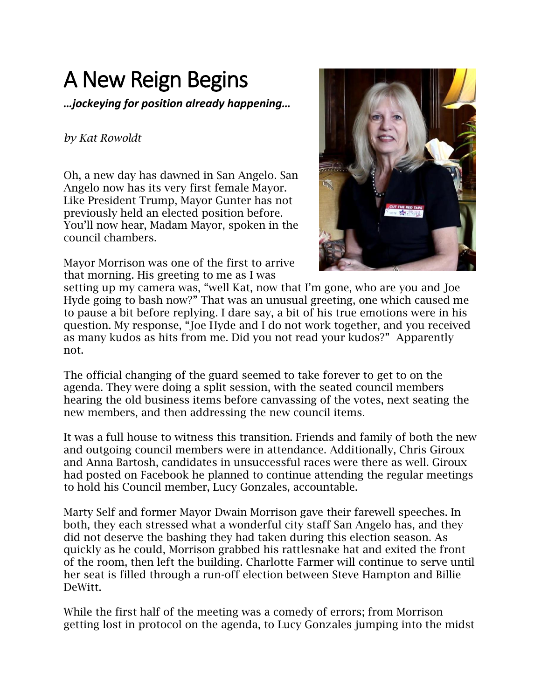## A New Reign Begins

*…jockeying for position already happening…*

## *by Kat Rowoldt*

Oh, a new day has dawned in San Angelo. San Angelo now has its very first female Mayor. Like President Trump, Mayor Gunter has not previously held an elected position before. You'll now hear, Madam Mayor, spoken in the council chambers.

Mayor Morrison was one of the first to arrive that morning. His greeting to me as I was



setting up my camera was, "well Kat, now that I'm gone, who are you and Joe Hyde going to bash now?" That was an unusual greeting, one which caused me to pause a bit before replying. I dare say, a bit of his true emotions were in his question. My response, "Joe Hyde and I do not work together, and you received as many kudos as hits from me. Did you not read your kudos?" Apparently not.

The official changing of the guard seemed to take forever to get to on the agenda. They were doing a split session, with the seated council members hearing the old business items before canvassing of the votes, next seating the new members, and then addressing the new council items.

It was a full house to witness this transition. Friends and family of both the new and outgoing council members were in attendance. Additionally, Chris Giroux and Anna Bartosh, candidates in unsuccessful races were there as well. Giroux had posted on Facebook he planned to continue attending the regular meetings to hold his Council member, Lucy Gonzales, accountable.

Marty Self and former Mayor Dwain Morrison gave their farewell speeches. In both, they each stressed what a wonderful city staff San Angelo has, and they did not deserve the bashing they had taken during this election season. As quickly as he could, Morrison grabbed his rattlesnake hat and exited the front of the room, then left the building. Charlotte Farmer will continue to serve until her seat is filled through a run-off election between Steve Hampton and Billie DeWitt.

While the first half of the meeting was a comedy of errors; from Morrison getting lost in protocol on the agenda, to Lucy Gonzales jumping into the midst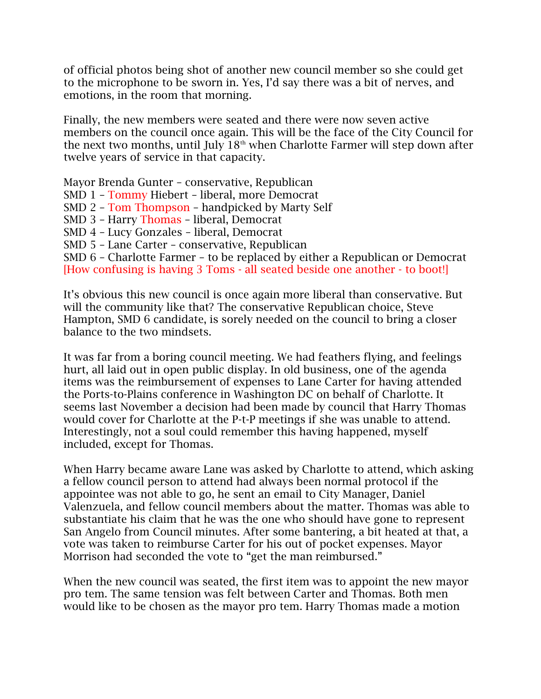of official photos being shot of another new council member so she could get to the microphone to be sworn in. Yes, I'd say there was a bit of nerves, and emotions, in the room that morning.

Finally, the new members were seated and there were now seven active members on the council once again. This will be the face of the City Council for the next two months, until July  $18<sup>th</sup>$  when Charlotte Farmer will step down after twelve years of service in that capacity.

Mayor Brenda Gunter – conservative, Republican SMD 1 – Tommy Hiebert – liberal, more Democrat SMD 2 – Tom Thompson – handpicked by Marty Self SMD 3 – Harry Thomas – liberal, Democrat SMD 4 – Lucy Gonzales – liberal, Democrat SMD 5 – Lane Carter – conservative, Republican SMD 6 – Charlotte Farmer – to be replaced by either a Republican or Democrat [How confusing is having 3 Toms - all seated beside one another - to boot!]

It's obvious this new council is once again more liberal than conservative. But will the community like that? The conservative Republican choice, Steve Hampton, SMD 6 candidate, is sorely needed on the council to bring a closer balance to the two mindsets.

It was far from a boring council meeting. We had feathers flying, and feelings hurt, all laid out in open public display. In old business, one of the agenda items was the reimbursement of expenses to Lane Carter for having attended the Ports-to-Plains conference in Washington DC on behalf of Charlotte. It seems last November a decision had been made by council that Harry Thomas would cover for Charlotte at the P-t-P meetings if she was unable to attend. Interestingly, not a soul could remember this having happened, myself included, except for Thomas.

When Harry became aware Lane was asked by Charlotte to attend, which asking a fellow council person to attend had always been normal protocol if the appointee was not able to go, he sent an email to City Manager, Daniel Valenzuela, and fellow council members about the matter. Thomas was able to substantiate his claim that he was the one who should have gone to represent San Angelo from Council minutes. After some bantering, a bit heated at that, a vote was taken to reimburse Carter for his out of pocket expenses. Mayor Morrison had seconded the vote to "get the man reimbursed."

When the new council was seated, the first item was to appoint the new mayor pro tem. The same tension was felt between Carter and Thomas. Both men would like to be chosen as the mayor pro tem. Harry Thomas made a motion